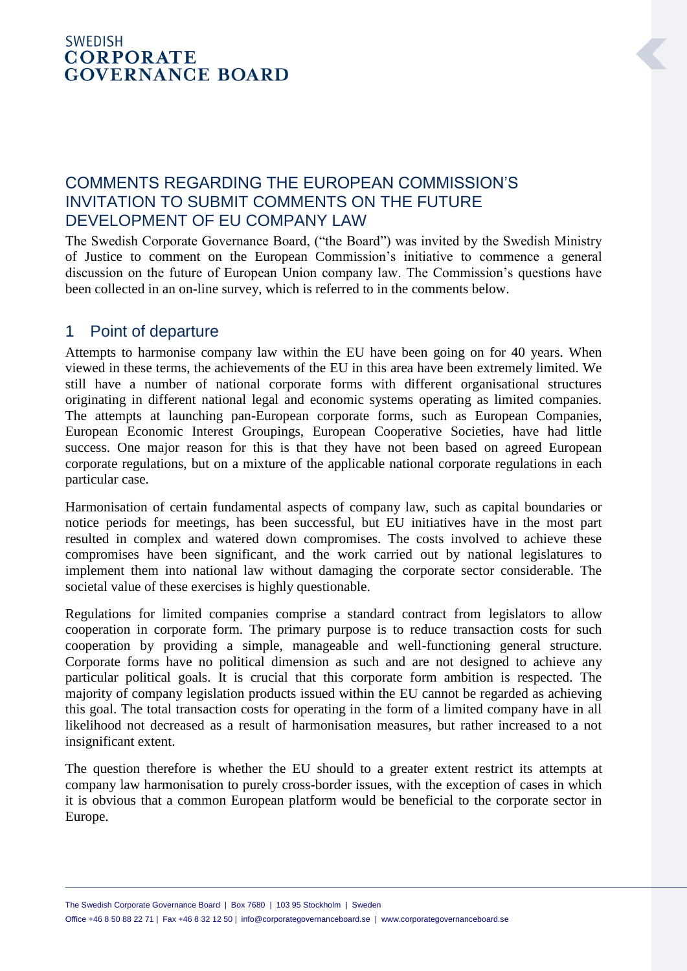## **SWEDISH CORPORATE GOVERNANCE BOARD**

## COMMENTS REGARDING THE EUROPEAN COMMISSION'S INVITATION TO SUBMIT COMMENTS ON THE FUTURE DEVELOPMENT OF EU COMPANY LAW

The Swedish Corporate Governance Board, ("the Board") was invited by the Swedish Ministry of Justice to comment on the European Commission's initiative to commence a general discussion on the future of European Union company law. The Commission's questions have been collected in an on-line survey, which is referred to in the comments below.

## 1 Point of departure

Attempts to harmonise company law within the EU have been going on for 40 years. When viewed in these terms, the achievements of the EU in this area have been extremely limited. We still have a number of national corporate forms with different organisational structures originating in different national legal and economic systems operating as limited companies. The attempts at launching pan-European corporate forms, such as European Companies, European Economic Interest Groupings, European Cooperative Societies, have had little success. One major reason for this is that they have not been based on agreed European corporate regulations, but on a mixture of the applicable national corporate regulations in each particular case.

Harmonisation of certain fundamental aspects of company law, such as capital boundaries or notice periods for meetings, has been successful, but EU initiatives have in the most part resulted in complex and watered down compromises. The costs involved to achieve these compromises have been significant, and the work carried out by national legislatures to implement them into national law without damaging the corporate sector considerable. The societal value of these exercises is highly questionable.

Regulations for limited companies comprise a standard contract from legislators to allow cooperation in corporate form. The primary purpose is to reduce transaction costs for such cooperation by providing a simple, manageable and well-functioning general structure. Corporate forms have no political dimension as such and are not designed to achieve any particular political goals. It is crucial that this corporate form ambition is respected. The majority of company legislation products issued within the EU cannot be regarded as achieving this goal. The total transaction costs for operating in the form of a limited company have in all likelihood not decreased as a result of harmonisation measures, but rather increased to a not insignificant extent.

The question therefore is whether the EU should to a greater extent restrict its attempts at company law harmonisation to purely cross-border issues, with the exception of cases in which it is obvious that a common European platform would be beneficial to the corporate sector in Europe.

The Swedish Corporate Governance Board | Box 7680 | 103 95 Stockholm | Sweden Office +46 8 50 88 22 71 | Fax +46 8 32 12 50 | info@corporategovernanceboard.se | www.corporategovernanceboard.se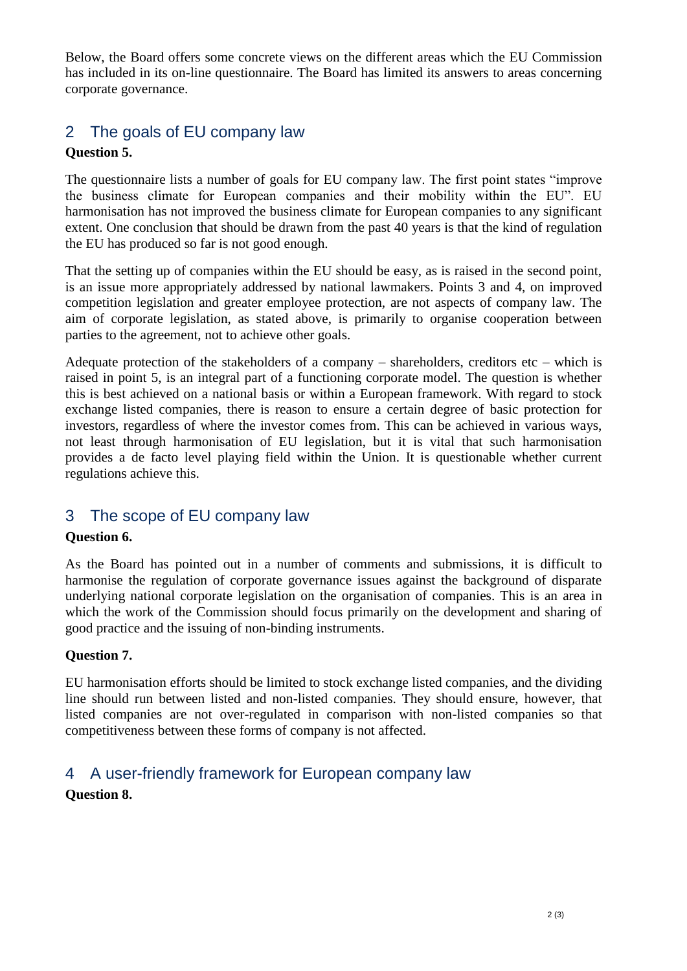Below, the Board offers some concrete views on the different areas which the EU Commission has included in its on-line questionnaire. The Board has limited its answers to areas concerning corporate governance.

# 2 The goals of EU company law

### **Question 5.**

The questionnaire lists a number of goals for EU company law. The first point states "improve the business climate for European companies and their mobility within the EU". EU harmonisation has not improved the business climate for European companies to any significant extent. One conclusion that should be drawn from the past 40 years is that the kind of regulation the EU has produced so far is not good enough.

That the setting up of companies within the EU should be easy, as is raised in the second point, is an issue more appropriately addressed by national lawmakers. Points 3 and 4, on improved competition legislation and greater employee protection, are not aspects of company law. The aim of corporate legislation, as stated above, is primarily to organise cooperation between parties to the agreement, not to achieve other goals.

Adequate protection of the stakeholders of a company – shareholders, creditors etc – which is raised in point 5, is an integral part of a functioning corporate model. The question is whether this is best achieved on a national basis or within a European framework. With regard to stock exchange listed companies, there is reason to ensure a certain degree of basic protection for investors, regardless of where the investor comes from. This can be achieved in various ways, not least through harmonisation of EU legislation, but it is vital that such harmonisation provides a de facto level playing field within the Union. It is questionable whether current regulations achieve this.

## 3 The scope of EU company law

#### **Question 6.**

As the Board has pointed out in a number of comments and submissions, it is difficult to harmonise the regulation of corporate governance issues against the background of disparate underlying national corporate legislation on the organisation of companies. This is an area in which the work of the Commission should focus primarily on the development and sharing of good practice and the issuing of non-binding instruments.

#### **Question 7.**

EU harmonisation efforts should be limited to stock exchange listed companies, and the dividing line should run between listed and non-listed companies. They should ensure, however, that listed companies are not over-regulated in comparison with non-listed companies so that competitiveness between these forms of company is not affected.

# 4 A user-friendly framework for European company law

### **Question 8.**